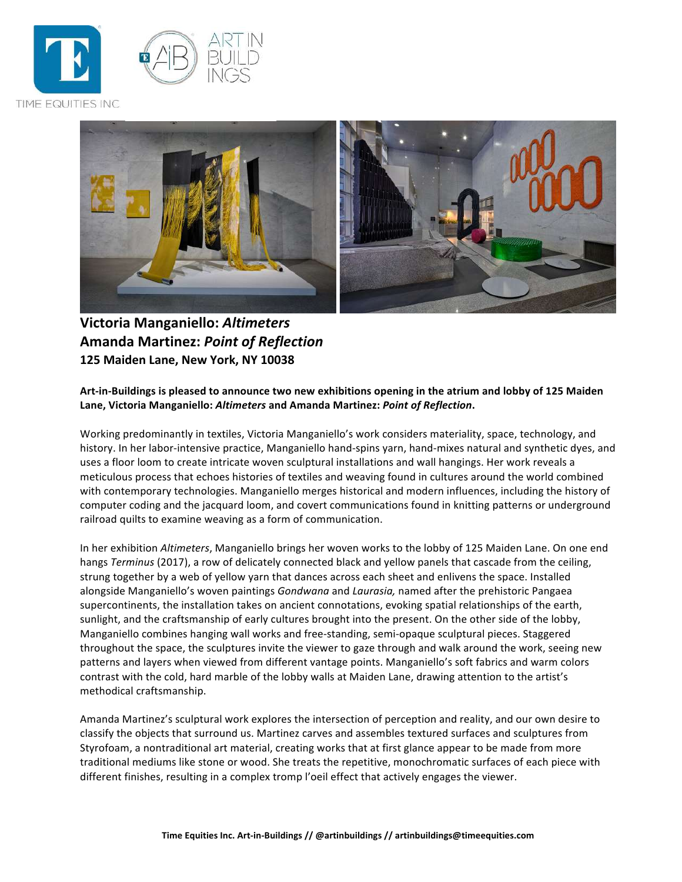



**Victoria Manganiello:** *Altimeters* **Amanda Martinez:** *Point of Reflection* **125 Maiden Lane, New York, NY 10038**

## Art-in-Buildings is pleased to announce two new exhibitions opening in the atrium and lobby of 125 Maiden Lane, Victoria Manganiello: Altimeters and Amanda Martinez: *Point of Reflection*.

Working predominantly in textiles, Victoria Manganiello's work considers materiality, space, technology, and history. In her labor-intensive practice, Manganiello hand-spins yarn, hand-mixes natural and synthetic dyes, and uses a floor loom to create intricate woven sculptural installations and wall hangings. Her work reveals a meticulous process that echoes histories of textiles and weaving found in cultures around the world combined with contemporary technologies. Manganiello merges historical and modern influences, including the history of computer coding and the jacquard loom, and covert communications found in knitting patterns or underground railroad quilts to examine weaving as a form of communication.

In her exhibition *Altimeters*, Manganiello brings her woven works to the lobby of 125 Maiden Lane. On one end hangs *Terminus* (2017), a row of delicately connected black and yellow panels that cascade from the ceiling, strung together by a web of yellow yarn that dances across each sheet and enlivens the space. Installed alongside Manganiello's woven paintings *Gondwana* and *Laurasia*, named after the prehistoric Pangaea supercontinents, the installation takes on ancient connotations, evoking spatial relationships of the earth, sunlight, and the craftsmanship of early cultures brought into the present. On the other side of the lobby, Manganiello combines hanging wall works and free-standing, semi-opaque sculptural pieces. Staggered throughout the space, the sculptures invite the viewer to gaze through and walk around the work, seeing new patterns and layers when viewed from different vantage points. Manganiello's soft fabrics and warm colors contrast with the cold, hard marble of the lobby walls at Maiden Lane, drawing attention to the artist's methodical craftsmanship.

Amanda Martinez's sculptural work explores the intersection of perception and reality, and our own desire to classify the objects that surround us. Martinez carves and assembles textured surfaces and sculptures from Styrofoam, a nontraditional art material, creating works that at first glance appear to be made from more traditional mediums like stone or wood. She treats the repetitive, monochromatic surfaces of each piece with different finishes, resulting in a complex tromp l'oeil effect that actively engages the viewer.